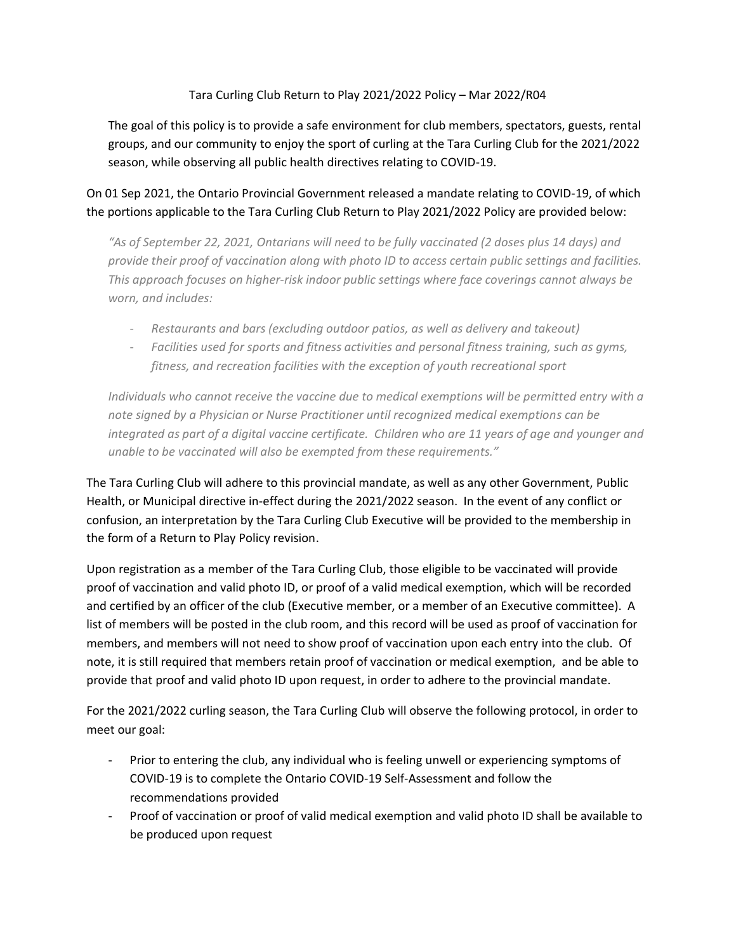# Tara Curling Club Return to Play 2021/2022 Policy – Mar 2022/R04

The goal of this policy is to provide a safe environment for club members, spectators, guests, rental groups, and our community to enjoy the sport of curling at the Tara Curling Club for the 2021/2022 season, while observing all public health directives relating to COVID-19.

# On 01 Sep 2021, the Ontario Provincial Government released a mandate relating to COVID-19, of which the portions applicable to the Tara Curling Club Return to Play 2021/2022 Policy are provided below:

*"As of September 22, 2021, Ontarians will need to be fully vaccinated (2 doses plus 14 days) and provide their proof of vaccination along with photo ID to access certain public settings and facilities. This approach focuses on higher-risk indoor public settings where face coverings cannot always be worn, and includes:*

- *Restaurants and bars (excluding outdoor patios, as well as delivery and takeout)*
- *Facilities used for sports and fitness activities and personal fitness training, such as gyms, fitness, and recreation facilities with the exception of youth recreational sport*

*Individuals who cannot receive the vaccine due to medical exemptions will be permitted entry with a note signed by a Physician or Nurse Practitioner until recognized medical exemptions can be integrated as part of a digital vaccine certificate. Children who are 11 years of age and younger and unable to be vaccinated will also be exempted from these requirements."*

The Tara Curling Club will adhere to this provincial mandate, as well as any other Government, Public Health, or Municipal directive in-effect during the 2021/2022 season. In the event of any conflict or confusion, an interpretation by the Tara Curling Club Executive will be provided to the membership in the form of a Return to Play Policy revision.

Upon registration as a member of the Tara Curling Club, those eligible to be vaccinated will provide proof of vaccination and valid photo ID, or proof of a valid medical exemption, which will be recorded and certified by an officer of the club (Executive member, or a member of an Executive committee). A list of members will be posted in the club room, and this record will be used as proof of vaccination for members, and members will not need to show proof of vaccination upon each entry into the club. Of note, it is still required that members retain proof of vaccination or medical exemption, and be able to provide that proof and valid photo ID upon request, in order to adhere to the provincial mandate.

For the 2021/2022 curling season, the Tara Curling Club will observe the following protocol, in order to meet our goal:

- Prior to entering the club, any individual who is feeling unwell or experiencing symptoms of COVID-19 is to complete the Ontario COVID-19 Self-Assessment and follow the recommendations provided
- Proof of vaccination or proof of valid medical exemption and valid photo ID shall be available to be produced upon request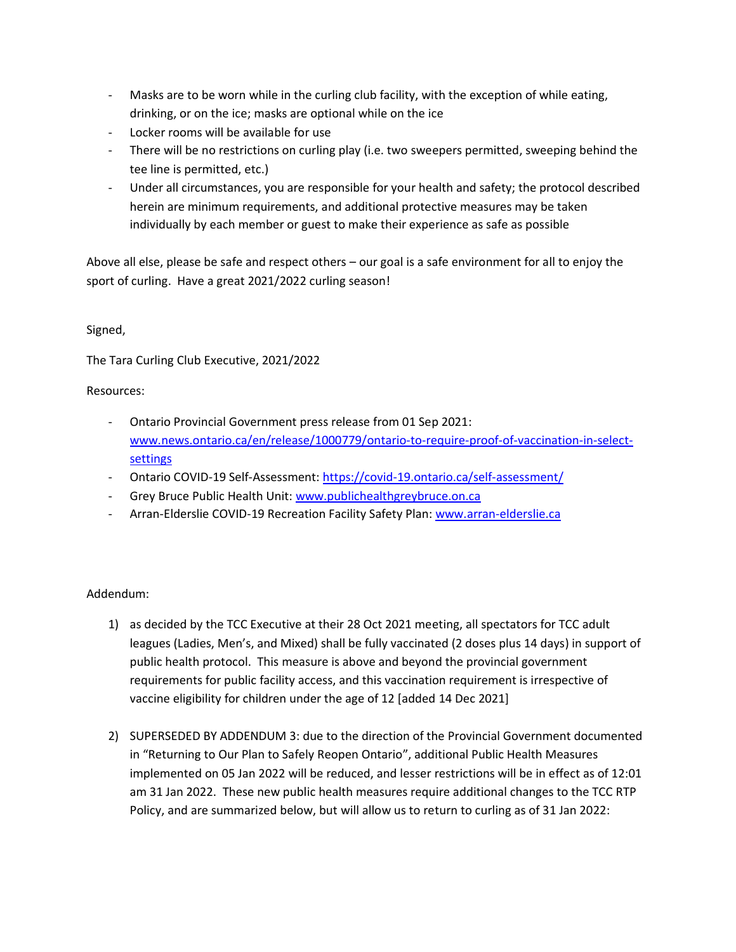- Masks are to be worn while in the curling club facility, with the exception of while eating, drinking, or on the ice; masks are optional while on the ice
- Locker rooms will be available for use
- There will be no restrictions on curling play (i.e. two sweepers permitted, sweeping behind the tee line is permitted, etc.)
- Under all circumstances, you are responsible for your health and safety; the protocol described herein are minimum requirements, and additional protective measures may be taken individually by each member or guest to make their experience as safe as possible

Above all else, please be safe and respect others – our goal is a safe environment for all to enjoy the sport of curling. Have a great 2021/2022 curling season!

# Signed,

The Tara Curling Club Executive, 2021/2022

# Resources:

- Ontario Provincial Government press release from 01 Sep 2021: [www.news.ontario.ca/en/release/1000779/ontario-to-require-proof-of-vaccination-in-select](http://www.news.ontario.ca/en/release/1000779/ontario-to-require-proof-of-vaccination-in-select-settings)[settings](http://www.news.ontario.ca/en/release/1000779/ontario-to-require-proof-of-vaccination-in-select-settings)
- Ontario COVID-19 Self-Assessment[: https://covid-19.ontario.ca/self-assessment/](https://covid-19.ontario.ca/self-assessment/)
- Grey Bruce Public Health Unit: [www.publichealthgreybruce.on.ca](http://www.publichealthgreybruce.on.ca/)
- Arran-Elderslie COVID-19 Recreation Facility Safety Plan: [www.arran-elderslie.ca](http://www.arran-elderslie.ca/)

# Addendum:

- 1) as decided by the TCC Executive at their 28 Oct 2021 meeting, all spectators for TCC adult leagues (Ladies, Men's, and Mixed) shall be fully vaccinated (2 doses plus 14 days) in support of public health protocol. This measure is above and beyond the provincial government requirements for public facility access, and this vaccination requirement is irrespective of vaccine eligibility for children under the age of 12 [added 14 Dec 2021]
- 2) SUPERSEDED BY ADDENDUM 3: due to the direction of the Provincial Government documented in "Returning to Our Plan to Safely Reopen Ontario", additional Public Health Measures implemented on 05 Jan 2022 will be reduced, and lesser restrictions will be in effect as of 12:01 am 31 Jan 2022. These new public health measures require additional changes to the TCC RTP Policy, and are summarized below, but will allow us to return to curling as of 31 Jan 2022: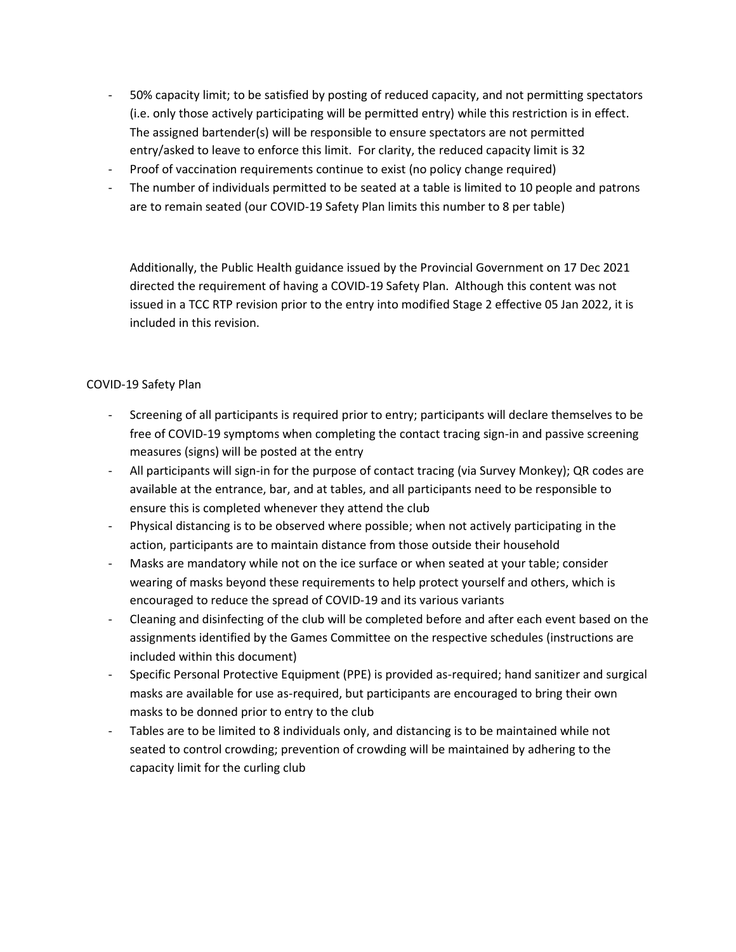- 50% capacity limit; to be satisfied by posting of reduced capacity, and not permitting spectators (i.e. only those actively participating will be permitted entry) while this restriction is in effect. The assigned bartender(s) will be responsible to ensure spectators are not permitted entry/asked to leave to enforce this limit. For clarity, the reduced capacity limit is 32
- Proof of vaccination requirements continue to exist (no policy change required)
- The number of individuals permitted to be seated at a table is limited to 10 people and patrons are to remain seated (our COVID-19 Safety Plan limits this number to 8 per table)

Additionally, the Public Health guidance issued by the Provincial Government on 17 Dec 2021 directed the requirement of having a COVID-19 Safety Plan. Although this content was not issued in a TCC RTP revision prior to the entry into modified Stage 2 effective 05 Jan 2022, it is included in this revision.

#### COVID-19 Safety Plan

- Screening of all participants is required prior to entry; participants will declare themselves to be free of COVID-19 symptoms when completing the contact tracing sign-in and passive screening measures (signs) will be posted at the entry
- All participants will sign-in for the purpose of contact tracing (via Survey Monkey); QR codes are available at the entrance, bar, and at tables, and all participants need to be responsible to ensure this is completed whenever they attend the club
- Physical distancing is to be observed where possible; when not actively participating in the action, participants are to maintain distance from those outside their household
- Masks are mandatory while not on the ice surface or when seated at your table; consider wearing of masks beyond these requirements to help protect yourself and others, which is encouraged to reduce the spread of COVID-19 and its various variants
- Cleaning and disinfecting of the club will be completed before and after each event based on the assignments identified by the Games Committee on the respective schedules (instructions are included within this document)
- Specific Personal Protective Equipment (PPE) is provided as-required; hand sanitizer and surgical masks are available for use as-required, but participants are encouraged to bring their own masks to be donned prior to entry to the club
- Tables are to be limited to 8 individuals only, and distancing is to be maintained while not seated to control crowding; prevention of crowding will be maintained by adhering to the capacity limit for the curling club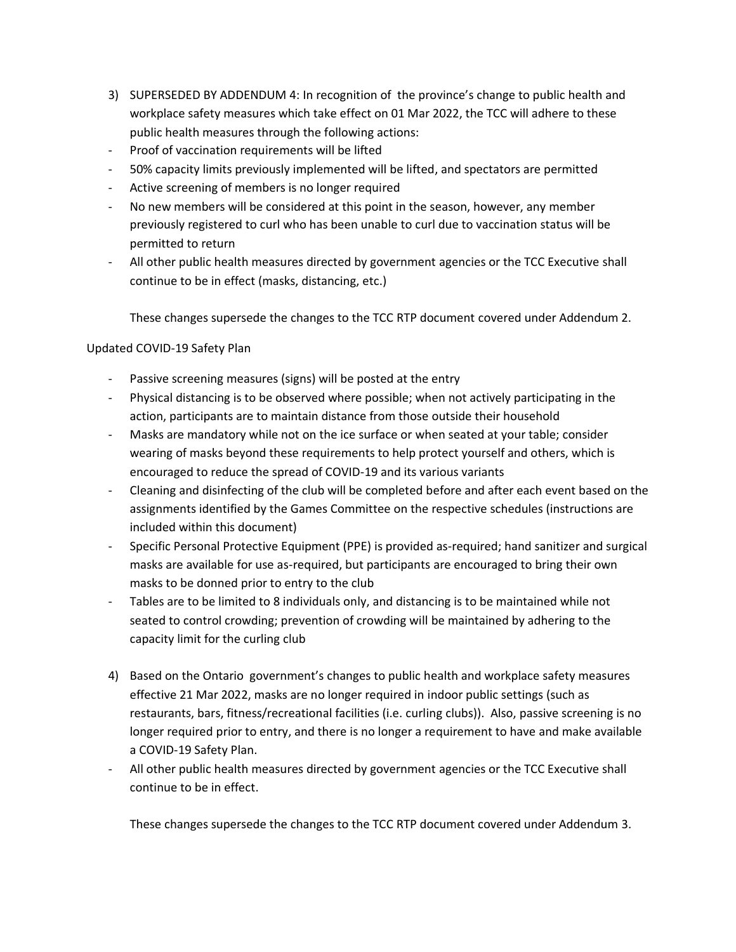- 3) SUPERSEDED BY ADDENDUM 4: In recognition of the province's change to public health and workplace safety measures which take effect on 01 Mar 2022, the TCC will adhere to these public health measures through the following actions:
- Proof of vaccination requirements will be lifted
- 50% capacity limits previously implemented will be lifted, and spectators are permitted
- Active screening of members is no longer required
- No new members will be considered at this point in the season, however, any member previously registered to curl who has been unable to curl due to vaccination status will be permitted to return
- All other public health measures directed by government agencies or the TCC Executive shall continue to be in effect (masks, distancing, etc.)

These changes supersede the changes to the TCC RTP document covered under Addendum 2.

#### Updated COVID-19 Safety Plan

- Passive screening measures (signs) will be posted at the entry
- Physical distancing is to be observed where possible; when not actively participating in the action, participants are to maintain distance from those outside their household
- Masks are mandatory while not on the ice surface or when seated at your table; consider wearing of masks beyond these requirements to help protect yourself and others, which is encouraged to reduce the spread of COVID-19 and its various variants
- Cleaning and disinfecting of the club will be completed before and after each event based on the assignments identified by the Games Committee on the respective schedules (instructions are included within this document)
- Specific Personal Protective Equipment (PPE) is provided as-required; hand sanitizer and surgical masks are available for use as-required, but participants are encouraged to bring their own masks to be donned prior to entry to the club
- Tables are to be limited to 8 individuals only, and distancing is to be maintained while not seated to control crowding; prevention of crowding will be maintained by adhering to the capacity limit for the curling club
- 4) Based on the Ontario government's changes to public health and workplace safety measures effective 21 Mar 2022, masks are no longer required in indoor public settings (such as restaurants, bars, fitness/recreational facilities (i.e. curling clubs)). Also, passive screening is no longer required prior to entry, and there is no longer a requirement to have and make available a COVID-19 Safety Plan.
- All other public health measures directed by government agencies or the TCC Executive shall continue to be in effect.

These changes supersede the changes to the TCC RTP document covered under Addendum 3.